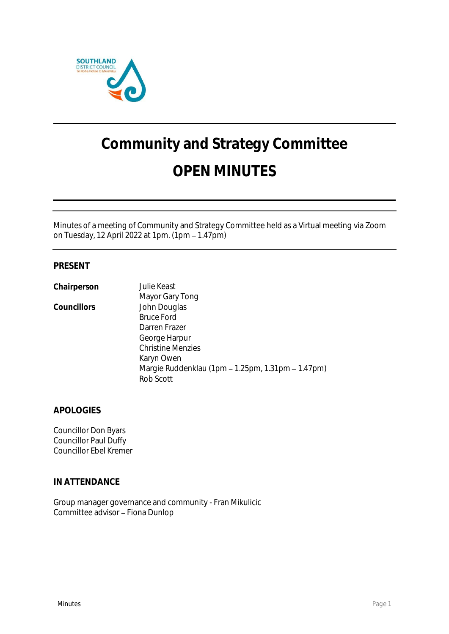

# **Community and Strategy Committee OPEN MINUTES**

Minutes of a meeting of Community and Strategy Committee held as a Virtual meeting via Zoom on Tuesday, 12 April 2022 at 1pm. (1pm 1.47pm)

# **PRESENT**

| Chairperson | Julie Keast                                       |
|-------------|---------------------------------------------------|
|             | Mayor Gary Tong                                   |
| Councillors | John Douglas                                      |
|             | <b>Bruce Ford</b>                                 |
|             | Darren Frazer                                     |
|             | George Harpur                                     |
|             | <b>Christine Menzies</b>                          |
|             | Karyn Owen                                        |
|             | Margie Ruddenklau (1pm – 1.25pm, 1.31pm – 1.47pm) |
|             | Rob Scott                                         |
|             |                                                   |

**APOLOGIES**

Councillor Don Byars Councillor Paul Duffy Councillor Ebel Kremer

**IN ATTENDANCE**

Group manager governance and community - Fran Mikulicic Committee advisor - Fiona Dunlop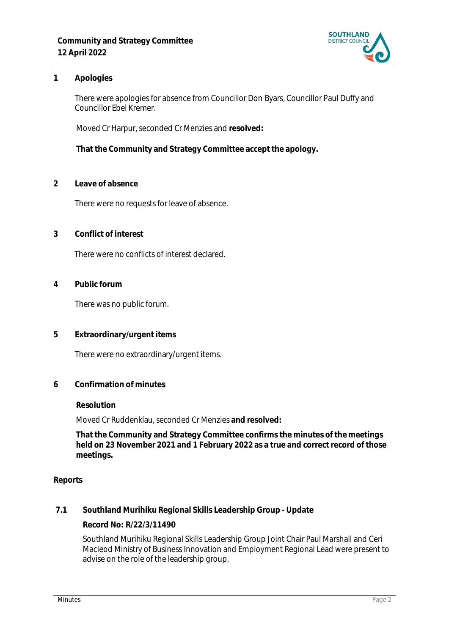

# **1 Apologies**

There were apologies for absence from Councillor Don Byars, Councillor Paul Duffy and Councillor Ebel Kremer.

Moved Cr Harpur, seconded Cr Menzies and **resolved:**

**That the Community and Strategy Committee accept the apology.**

**2 Leave of absence** 

There were no requests for leave of absence.

**3 Conflict of interest**

There were no conflicts of interest declared.

**4 Public forum**

There was no public forum.

**5 Extraordinary/urgent items**

There were no extraordinary/urgent items.

**6 Confirmation of minutes**

#### **Resolution**

Moved Cr Ruddenklau, seconded Cr Menzies **and resolved:**

**That the Community and Strategy Committee confirms the minutes of the meetings held on 23 November 2021 and 1 February 2022 as a true and correct record of those meetings.**

#### **Reports**

**7.1 Southland Murihiku Regional Skills Leadership Group - Update**

**Record No: R/22/3/11490**

Southland Murihiku Regional Skills Leadership Group Joint Chair Paul Marshall and Ceri Macleod Ministry of Business Innovation and Employment Regional Lead were present to advise on the role of the leadership group.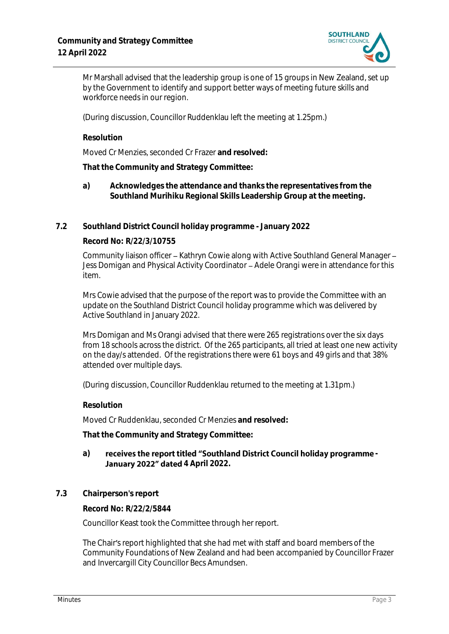

Mr Marshall advised that the leadership group is one of 15 groups in New Zealand, set up by the Government to identify and support better ways of meeting future skills and workforce needs in our region.

(During discussion, Councillor Ruddenklau left the meeting at 1.25pm.)

**Resolution**

Moved Cr Menzies, seconded Cr Frazer **and resolved:**

**That the Community and Strategy Committee:**

- **a) Acknowledges the attendance and thanks the representatives from the Southland Murihiku Regional Skills Leadership Group at the meeting.**
- **7.2 Southland District Council holiday programme - January 2022**

## **Record No: R/22/3/10755**

Community liaison officer - Kathryn Cowie along with Active Southland General Manager -Jess Domigan and Physical Activity Coordinator - Adele Orangi were in attendance for this item.

Mrs Cowie advised that the purpose of the report was to provide the Committee with an update on the Southland District Council holiday programme which was delivered by Active Southland in January 2022.

Mrs Domigan and Ms Orangi advised that there were 265 registrations over the six days from 18 schools across the district. Of the 265 participants, all tried at least one new activity on the day/s attended. Of the registrations there were 61 boys and 49 girls and that 38% attended over multiple days.

(During discussion, Councillor Ruddenklau returned to the meeting at 1.31pm.)

**Resolution**

Moved Cr Ruddenklau, seconded Cr Menzies **and resolved:**

**That the Community and Strategy Committee:**

## a) receives the report titled "Southland District Council holiday programme -**January 2022" dated 4 April 2022.**

**7.3 Chairperson's report**

**Record No: R/22/2/5844**

Councillor Keast took the Committee through her report.

The Chair's report highlighted that she had met with staff and board members of the Community Foundations of New Zealand and had been accompanied by Councillor Frazer and Invercargill City Councillor Becs Amundsen.